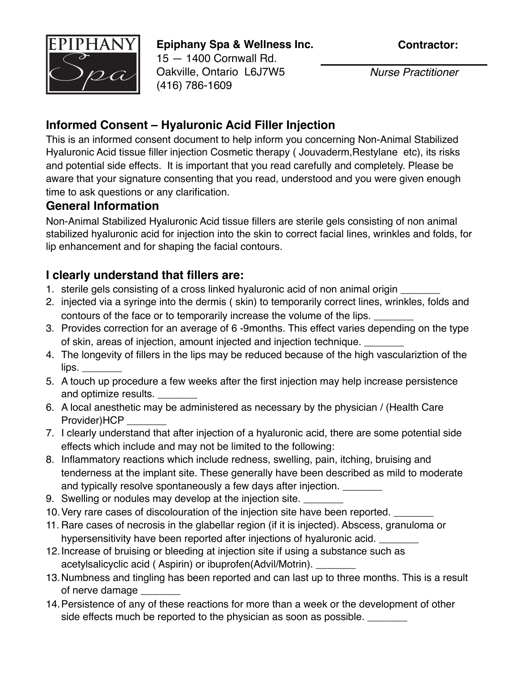

**Epiphany Spa & Wellness Inc.** 15 — 1400 Cornwall Rd. Oakville, Ontario L6J7W5 (416) 786-1609

**Contractor:**

Sandra Wilczynska *Nurse Practitioner*

## **Informed Consent – Hyaluronic Acid Filler Injection**

This is an informed consent document to help inform you concerning Non-Animal Stabilized Hyaluronic Acid tissue filler injection Cosmetic therapy (Jouvaderm, Restylane etc), its risks and potential side effects. It is important that you read carefully and completely. Please be aware that your signature consenting that you read, understood and you were given enough time to ask questions or any clarification.

## **General Information**

Non-Animal Stabilized Hyaluronic Acid tissue fillers are sterile gels consisting of non animal stabilized hyaluronic acid for injection into the skin to correct facial lines, wrinkles and folds, for lip enhancement and for shaping the facial contours.

## **I clearly understand that fillers are:**

- 1. sterile gels consisting of a cross linked hyaluronic acid of non animal origin
- 2. injected via a syringe into the dermis ( skin) to temporarily correct lines, wrinkles, folds and contours of the face or to temporarily increase the volume of the lips.
- 3. Provides correction for an average of 6 -9months. This effect varies depending on the type of skin, areas of injection, amount injected and injection technique.
- 4. The longevity of fillers in the lips may be reduced because of the high vasculariztion of the  $lips.$
- 5. A touch up procedure a few weeks after the first injection may help increase persistence and optimize results.
- 6. A local anesthetic may be administered as necessary by the physician / (Health Care Provider)HCP
- 7. I clearly understand that after injection of a hyaluronic acid, there are some potential side effects which include and may not be limited to the following:
- 8. Inflammatory reactions which include redness, swelling, pain, itching, bruising and tenderness at the implant site. These generally have been described as mild to moderate and typically resolve spontaneously a few days after injection.
- 9. Swelling or nodules may develop at the injection site. \_\_\_\_\_\_\_\_
- 10. Very rare cases of discolouration of the injection site have been reported.
- 11. Rare cases of necrosis in the glabellar region (if it is injected). Abscess, granuloma or hypersensitivity have been reported after injections of hyaluronic acid.
- 12.Increase of bruising or bleeding at injection site if using a substance such as acetylsalicyclic acid ( Aspirin) or ibuprofen(Advil/Motrin). \_\_\_\_\_\_\_
- 13.Numbness and tingling has been reported and can last up to three months. This is a result of nerve damage
- 14.Persistence of any of these reactions for more than a week or the development of other side effects much be reported to the physician as soon as possible.